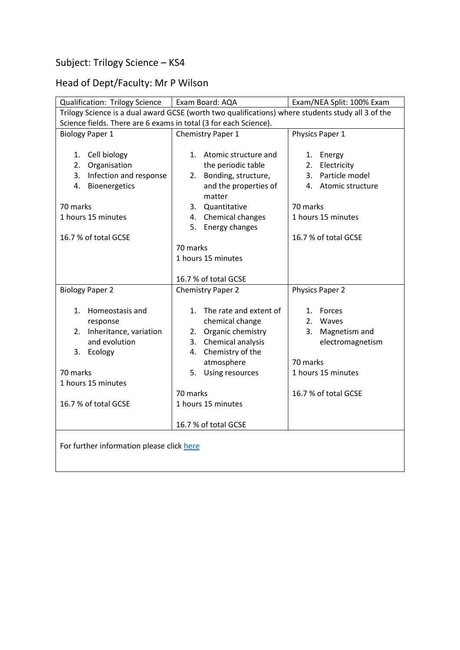## Subject: Trilogy Science – KS4

## Head of Dept/Faculty: Mr P Wilson

| Qualification: Trilogy Science                                                                    | Exam Board: AQA           | Exam/NEA Split: 100% Exam |  |
|---------------------------------------------------------------------------------------------------|---------------------------|---------------------------|--|
| Trilogy Science is a dual award GCSE (worth two qualifications) where students study all 3 of the |                           |                           |  |
| Science fields. There are 6 exams in total (3 for each Science).                                  |                           |                           |  |
| <b>Biology Paper 1</b>                                                                            | Chemistry Paper 1         | Physics Paper 1           |  |
|                                                                                                   |                           |                           |  |
| 1. Cell biology                                                                                   | 1. Atomic structure and   | Energy<br>1.              |  |
| 2.<br>Organisation                                                                                | the periodic table        | Electricity<br>2.         |  |
| Infection and response<br>3.                                                                      | Bonding, structure,<br>2. | Particle model<br>3.      |  |
| Bioenergetics<br>4.                                                                               | and the properties of     | 4. Atomic structure       |  |
|                                                                                                   | matter                    |                           |  |
| 70 marks                                                                                          | 3. Quantitative           | 70 marks                  |  |
| 1 hours 15 minutes                                                                                | Chemical changes<br>4.    | 1 hours 15 minutes        |  |
|                                                                                                   | Energy changes<br>5.      |                           |  |
| 16.7 % of total GCSE                                                                              |                           | 16.7 % of total GCSE      |  |
|                                                                                                   | 70 marks                  |                           |  |
|                                                                                                   | 1 hours 15 minutes        |                           |  |
|                                                                                                   |                           |                           |  |
|                                                                                                   | 16.7 % of total GCSE      |                           |  |
| <b>Biology Paper 2</b>                                                                            | <b>Chemistry Paper 2</b>  | Physics Paper 2           |  |
| 1. Homeostasis and                                                                                | 1. The rate and extent of | 1. Forces                 |  |
| response                                                                                          | chemical change           | 2. Waves                  |  |
| 2. Inheritance, variation                                                                         | Organic chemistry<br>2.   | 3. Magnetism and          |  |
| and evolution                                                                                     | Chemical analysis<br>3.   | electromagnetism          |  |
| 3. Ecology                                                                                        | Chemistry of the<br>4.    |                           |  |
|                                                                                                   | atmosphere                | 70 marks                  |  |
| 70 marks                                                                                          | 5. Using resources        | 1 hours 15 minutes        |  |
| 1 hours 15 minutes                                                                                |                           |                           |  |
|                                                                                                   | 70 marks                  | 16.7 % of total GCSE      |  |
| 16.7 % of total GCSE                                                                              | 1 hours 15 minutes        |                           |  |
|                                                                                                   |                           |                           |  |
|                                                                                                   | 16.7 % of total GCSE      |                           |  |
|                                                                                                   |                           |                           |  |
| For further information please click here                                                         |                           |                           |  |
|                                                                                                   |                           |                           |  |
|                                                                                                   |                           |                           |  |